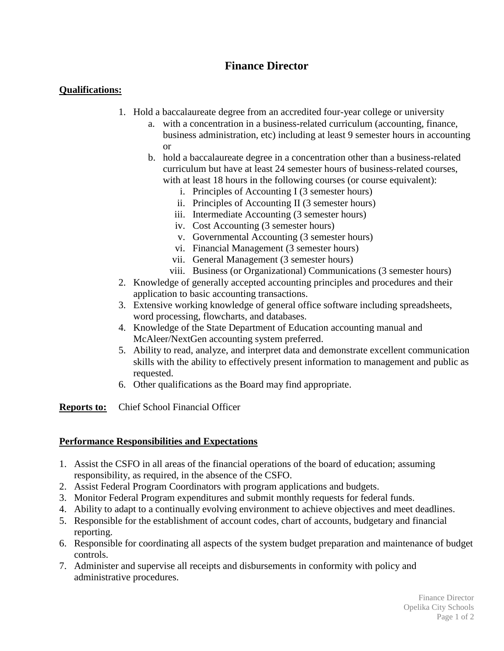## **Finance Director**

## **Qualifications:**

- 1. Hold a baccalaureate degree from an accredited four-year college or university
	- a. with a concentration in a business-related curriculum (accounting, finance, business administration, etc) including at least 9 semester hours in accounting or
	- b. hold a baccalaureate degree in a concentration other than a business-related curriculum but have at least 24 semester hours of business-related courses, with at least 18 hours in the following courses (or course equivalent):
		- i. Principles of Accounting I (3 semester hours)
		- ii. Principles of Accounting II (3 semester hours)
		- iii. Intermediate Accounting (3 semester hours)
		- iv. Cost Accounting (3 semester hours)
		- v. Governmental Accounting (3 semester hours)
		- vi. Financial Management (3 semester hours)
		- vii. General Management (3 semester hours)
		- viii. Business (or Organizational) Communications (3 semester hours)
- 2. Knowledge of generally accepted accounting principles and procedures and their application to basic accounting transactions.
- 3. Extensive working knowledge of general office software including spreadsheets, word processing, flowcharts, and databases.
- 4. Knowledge of the State Department of Education accounting manual and McAleer/NextGen accounting system preferred.
- 5. Ability to read, analyze, and interpret data and demonstrate excellent communication skills with the ability to effectively present information to management and public as requested.
- 6. Other qualifications as the Board may find appropriate.

**Reports to:** Chief School Financial Officer

## **Performance Responsibilities and Expectations**

- 1. Assist the CSFO in all areas of the financial operations of the board of education; assuming responsibility, as required, in the absence of the CSFO.
- 2. Assist Federal Program Coordinators with program applications and budgets.
- 3. Monitor Federal Program expenditures and submit monthly requests for federal funds.
- 4. Ability to adapt to a continually evolving environment to achieve objectives and meet deadlines.
- 5. Responsible for the establishment of account codes, chart of accounts, budgetary and financial reporting.
- 6. Responsible for coordinating all aspects of the system budget preparation and maintenance of budget controls.
- 7. Administer and supervise all receipts and disbursements in conformity with policy and administrative procedures.